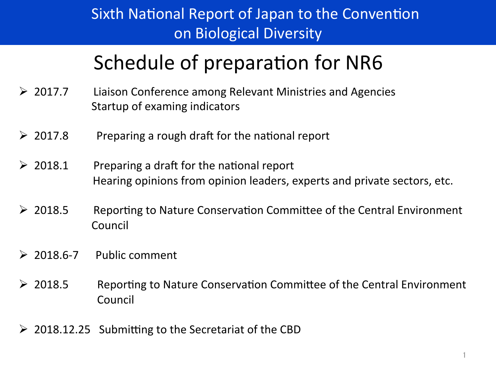## Sixth National Report of Japan to the Convention on Biological Diversity

# Schedule of preparation for NR6

- $\triangleright$  2017.7 Liaison Conference among Relevant Ministries and Agencies Startup of examing indicators
- $\geq 2017.8$  Preparing a rough draft for the national report
- $\geq 2018.1$  Preparing a draft for the national report Hearing opinions from opinion leaders, experts and private sectors, etc.
- $\triangleright$  2018.5 Reporting to Nature Conservation Committee of the Central Environment Council
- $\geq 2018.6 7$  Public comment
- $\triangleright$  2018.5 Reporting to Nature Conservation Committee of the Central Environment Council
- $\geq$  2018.12.25 Submitting to the Secretariat of the CBD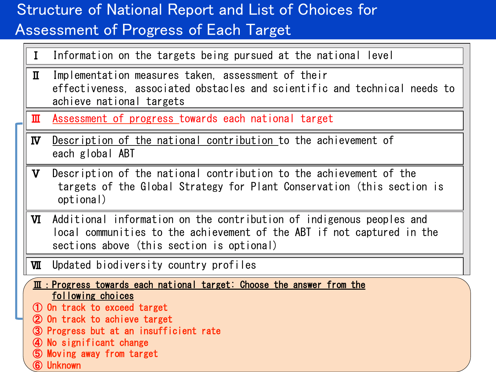## Structure of National Report and List of Choices for Assessment of Progress of Each Target

- I Information on the targets being pursued at the national level
- Ⅱ Implementation measures taken, assessment of their effectiveness, associated obstacles and scientific and technical needs to achieve national targets
- **III** Assessment of progress towards each national target
- **N** Description of the national contribution to the achievement of each global ABT
- **V** Description of the national contribution to the achievement of the targets of the Global Strategy for Plant Conservation (this section is optional)
- **VI** Additional information on the contribution of indigenous peoples and local communities to the achievement of the ABT if not captured in the sections above (this section is optional)

2 

- **WI** Updated biodiversity country profiles
- $\overline{\mathbf{m}}$  : Progress towards each national target: Choose the answer from the following choices
- ① On track to exceed target
- ② On track to achieve target
- ③ Progress but at an insufficient rate
- ④ No significant change
- ⑤ Moving away from target
- ⑥ Unknown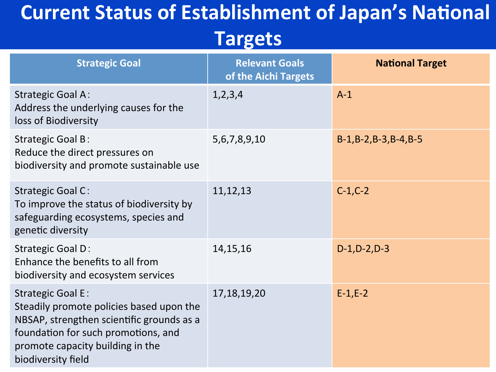# **Current Status of Establishment of Japan's National**

# **Targets**

| <b>Strategic Goal</b>                                                                                                                                                                                              | <b>Relevant Goals</b><br>of the Aichi Targets | <b>National Target</b>    |
|--------------------------------------------------------------------------------------------------------------------------------------------------------------------------------------------------------------------|-----------------------------------------------|---------------------------|
| <b>Strategic Goal A:</b><br>Address the underlying causes for the<br>loss of Biodiversity                                                                                                                          | 1,2,3,4                                       | $A-1$                     |
| <b>Strategic Goal B:</b><br>Reduce the direct pressures on<br>biodiversity and promote sustainable use                                                                                                             | 5, 6, 7, 8, 9, 10                             | $B-1, B-2, B-3, B-4, B-5$ |
| <b>Strategic Goal C:</b><br>To improve the status of biodiversity by<br>safeguarding ecosystems, species and<br>genetic diversity                                                                                  | 11, 12, 13                                    | $C-1, C-2$                |
| <b>Strategic Goal D:</b><br>Enhance the benefits to all from<br>biodiversity and ecosystem services                                                                                                                | 14, 15, 16                                    | $D-1, D-2, D-3$           |
| <b>Strategic Goal E:</b><br>Steadily promote policies based upon the<br>NBSAP, strengthen scientific grounds as a<br>foundation for such promotions, and<br>promote capacity building in the<br>biodiversity field | 17, 18, 19, 20                                | $E-1,E-2$                 |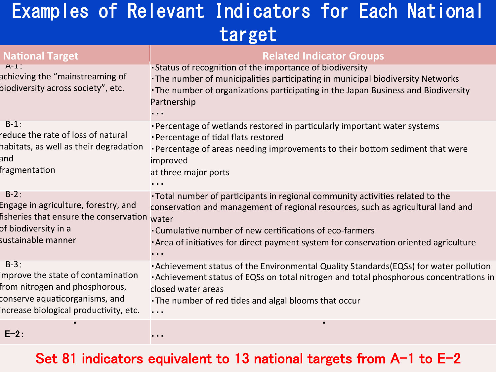# Examples of Relevant Indicators for Each National target

| <b>National Target</b>                                                                                                                                    | <b>Related Indicator Groups</b>                                                                                                                                                                                                                                                                                                 |
|-----------------------------------------------------------------------------------------------------------------------------------------------------------|---------------------------------------------------------------------------------------------------------------------------------------------------------------------------------------------------------------------------------------------------------------------------------------------------------------------------------|
| $A-L$<br>achieving the "mainstreaming of<br>biodiversity across society", etc.                                                                            | . Status of recognition of the importance of biodiversity<br>. The number of municipalities participating in municipal biodiversity Networks<br>. The number of organizations participating in the Japan Business and Biodiversity<br>Partnership                                                                               |
| $B-1$ :<br>reduce the rate of loss of natural<br>habitats, as well as their degradation<br>and<br>fragmentation                                           | . Percentage of wetlands restored in particularly important water systems<br>• Percentage of tidal flats restored<br>. Percentage of areas needing improvements to their bottom sediment that were<br>improved<br>at three major ports                                                                                          |
| $B-2$ :<br>Engage in agriculture, forestry, and<br>fisheries that ensure the conservation<br>of biodiversity in a<br>sustainable manner                   | •Total number of participants in regional community activities related to the<br>conservation and management of regional resources, such as agricultural land and<br>water<br>. Cumulative number of new certifications of eco-farmers<br>. Area of initiatives for direct payment system for conservation oriented agriculture |
| $B-3$ :<br>mprove the state of contamination<br>from nitrogen and phosphorous,<br>conserve aquaticorganisms, and<br>ncrease biological productivity, etc. | . Achievement status of the Environmental Quality Standards (EQSs) for water pollution<br>• Achievement status of EQSs on total nitrogen and total phosphorous concentrations in<br>closed water areas<br>• The number of red tides and algal blooms that occur<br>.                                                            |
|                                                                                                                                                           |                                                                                                                                                                                                                                                                                                                                 |

#### E-2:

### Set 81 indicators equivalent to 13 national targets from  $A-1$  to  $E-2$

・・・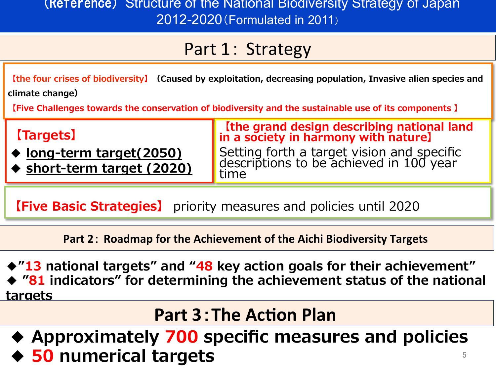### (Reference) Structure of the National Biodiversity Strategy of Japan 2012-2020(Formulated in 2011)

### Part 1: Strategy

**【the four crises of biodiversity】(Caused by exploitation, decreasing population, Invasive alien species and climate change)**

**【Five Challenges towards the conservation of biodiversity and the sustainable use of its components 】** 

| <b>Ratur</b><br>◠ |
|-------------------|
|-------------------|

- **◆ long-term target(2050)**
- **◆ short-term target (2020)**

**【the grand design describing national land in a society in harmony with nature】** Setting forth a target vision and specific descriptions to be achieved in 100 year time

**【Five Basic Strategies】** priority measures and policies until 2020

**Part 2: Roadmap for the Achievement of the Aichi Biodiversity Targets** 

**◆"13 national targets" and "48 key action goals for their achievement"** ◆ "81 indicators" for determining the achievement status of the national **targets** 

# **Part 3: The Action Plan**

**◆ Approximately 700 specific measures and policies ◆ 50 numerical targets** 5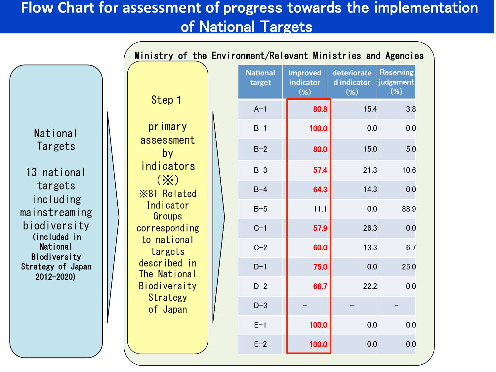### **Flow Chart for assessment of progress towards the implementation** of National Targets

Ministry of the Environment/Relevant Ministries and Agencies Step 1 primary assessment by indicators (※) ※81 Related Indicator Groups corresponding to national targets described in The National Biodiversity **Strategy** of Japan National **Targets** 13 national targets including mainstreaming biodiversity (included in **National** Biodiversity Strategy of Japan 2012-2020) **National target Improved indicator** (**%**) **deteriorate d** indicator (**%**) **Reserving** judgement (**%**) A-1 **80.8** 15.4 3.8 B-1 |  $100.0$  | 0.0 0.0 B-2 **80.0** 15.0 5.0 B-3 **67.4** 21.3 10.6 B-4 **64.3** 14.3 0.0 B-5 **11.1** 0.0 88.9 C-1 **67.9** 26.3 0.0 C-2 **60.0** 13.3 6.7 D-1 **1 75.0** 0.0 25.0 D-2 **66.7** 22.2 0.0 D-3 | – | – | – E-1 **100.0** 0.0 0.0  $E-2$  | 100.0 0.0 0.0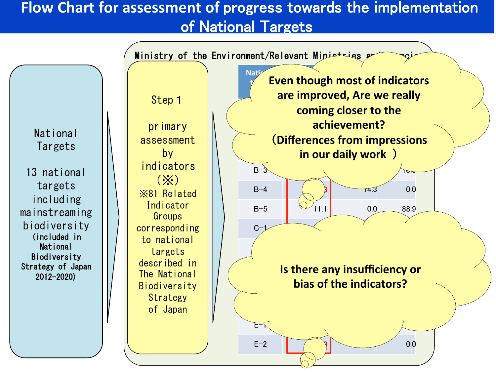### **Flow Chart for assessment of progress towards the implementation** of National Targets

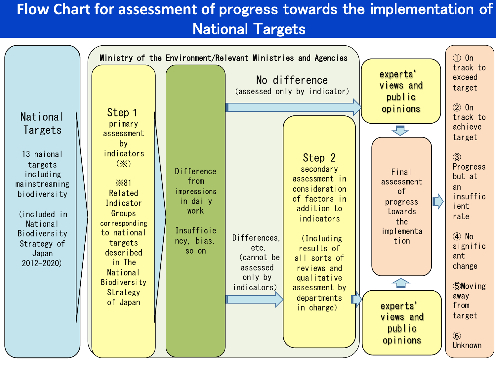### Flow Chart for assessment of progress towards the implementation of **National Targets**

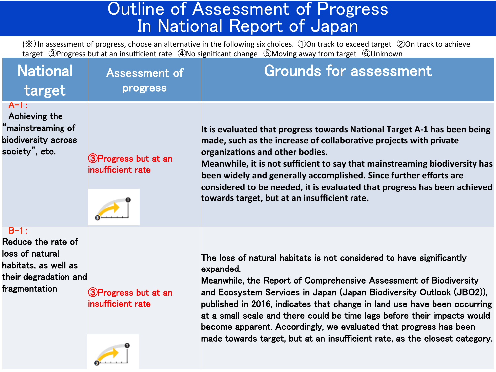### Outline of Assessment of Progress In National Report of Japan

 $(\%)$  In assessment of progress, choose an alternative in the following six choices. ①On track to exceed target ②On track to achieve target ③Progress but at an insufficient rate 4No significant change ⑤Moving away from target 6Unknown

| <b>National</b><br>target                                                                                         | <b>Assessment of</b><br>progress          | <b>Grounds for assessment</b>                                                                                                                                                                                                                                                                                                                                                                                                                                                                                                             |
|-------------------------------------------------------------------------------------------------------------------|-------------------------------------------|-------------------------------------------------------------------------------------------------------------------------------------------------------------------------------------------------------------------------------------------------------------------------------------------------------------------------------------------------------------------------------------------------------------------------------------------------------------------------------------------------------------------------------------------|
| $A - 1:$<br>Achieving the<br>"mainstreaming of<br>biodiversity across<br>society", etc.                           | 3)Progress but at an<br>insufficient rate | It is evaluated that progress towards National Target A-1 has been being<br>made, such as the increase of collaborative projects with private<br>organizations and other bodies.<br>Meanwhile, it is not sufficient to say that mainstreaming biodiversity has<br>been widely and generally accomplished. Since further efforts are<br>considered to be needed, it is evaluated that progress has been achieved<br>towards target, but at an insufficient rate.                                                                           |
| $B-1:$<br>Reduce the rate of<br>loss of natural<br>habitats, as well as<br>their degradation and<br>fragmentation | 3)Progress but at an<br>insufficient rate | The loss of natural habitats is not considered to have significantly<br>expanded.<br>Meanwhile, the Report of Comprehensive Assessment of Biodiversity<br>and Ecosystem Services in Japan (Japan Biodiversity Outlook (JBO2)),<br>published in 2016, indicates that change in land use have been occurring<br>at a small scale and there could be time lags before their impacts would<br>become apparent. Accordingly, we evaluated that progress has been<br>made towards target, but at an insufficient rate, as the closest category. |
|                                                                                                                   | ❶                                         |                                                                                                                                                                                                                                                                                                                                                                                                                                                                                                                                           |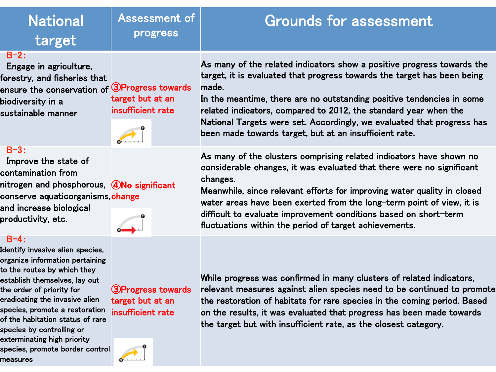| <b>National</b><br>target                                                                                                                                                                                                                                                                                             | Assessment of<br>progress                                    | <b>Grounds for assessment</b>                                                                                                                                                                                                                                                                                                                                                                                                               |
|-----------------------------------------------------------------------------------------------------------------------------------------------------------------------------------------------------------------------------------------------------------------------------------------------------------------------|--------------------------------------------------------------|---------------------------------------------------------------------------------------------------------------------------------------------------------------------------------------------------------------------------------------------------------------------------------------------------------------------------------------------------------------------------------------------------------------------------------------------|
| $B-2$ :<br>Engage in agriculture,<br>forestry, and fisheries that<br>ensure the conservation of $\textcircled{3}$ Progress towards<br>biodiversity in a<br>sustainable manner                                                                                                                                         | target but at an<br>insufficient rate                        | As many of the related indicators show a positive progress towards the<br>target, it is evaluated that progress towards the target has been being<br>made.<br>In the meantime, there are no outstanding positive tendencies in some<br>related indicators, compared to 2012, the standard year when the<br>National Targets were set. Accordingly, we evaluated that progress has<br>been made towards target, but at an insufficient rate. |
| $B - 3:$<br>Improve the state of<br>contamination from<br>nitrogen and phosphorous, 4No significant<br>conserve aquaticorganisms, change<br>and increase biological<br>productivity, etc.                                                                                                                             |                                                              | As many of the clusters comprising related indicators have shown no<br>considerable changes, it was evaluated that there were no significant<br>changes.<br>Meanwhile, since relevant efforts for improving water quality in closed<br>water areas have been exerted from the long-term point of view, it is<br>difficult to evaluate improvement conditions based on short-term<br>fluctuations within the period of target achievements.  |
| $B - 4:$<br>Identify invasive alien species,<br>organize information pertaining<br>to the routes by which they<br>establish themselves, lay out<br>the order of priority for<br>eradicating the invasive alien<br>species, promote a restoration<br>of the habitation status of rare<br>an a bha an an am baile 1195. | 3) Progress towards<br>target but at an<br>insufficient rate | While progress was confirmed in many clusters of related indicators,<br>relevant measures against alien species need to be continued to promote<br>the restoration of habitats for rare species in the coming period. Based<br>on the results, it was evaluated that progress has been made towards<br>the target but with insufficient rate, as the closest category.                                                                      |

species, promote border control  $\overrightarrow{0}$ 

species by controlling or exterminating high priority

measures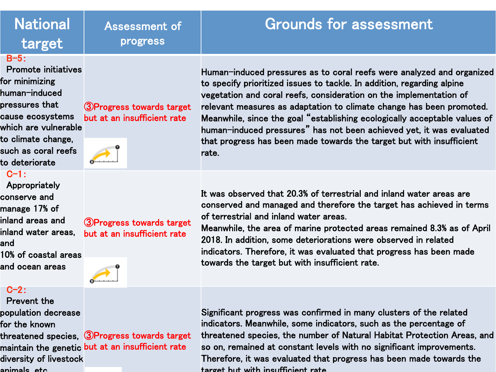### **National** target

### Assessment of progress

### Grounds for assessment

#### B-5:

 Promote initiatives for minimizing human-induced pressures that cause ecosystems which are vulnerable to climate change, such as coral reefs to deteriorate 

#### $C-1$ :

 Appropriately conserve and manage 17% of inland areas and inland water areas,

- and
- 10% of coastal areas and ocean areas

#### $C-2$ :

Prevent the

- population decrease
- for the known
- threatened species, ③Progress towards target
- maintain the genetic but at an insufficient rate
- diversity of livestock
- animals, etc.

③Progress towards target but at an insufficient rate 

#### ③Progress towards target but at an insufficient rate

rate. 

Human-induced pressures as to coral reefs were analyzed and organized to specify prioritized issues to tackle. In addition, regarding alpine vegetation and coral reefs, consideration on the implementation of relevant measures as adaptation to climate change has been promoted. Meanwhile, since the goal "establishing ecologically acceptable values of human-induced pressures" has not been achieved yet, it was evaluated that progress has been made towards the target but with insufficient

It was observed that 20.3% of terrestrial and inland water areas are conserved and managed and therefore the target has achieved in terms of terrestrial and inland water areas. 

Meanwhile, the area of marine protected areas remained 8.3% as of April 2018. In addition, some deteriorations were observed in related indicators. Therefore, it was evaluated that progress has been made towards the target but with insufficient rate. 

 $\sim$ Significant progress was confirmed in many clusters of the related indicators. Meanwhile, some indicators, such as the percentage of threatened species, the number of Natural Habitat Protection Areas, and so on, remained at constant levels with no significant improvements. Therefore, it was evaluated that progress has been made towards the target but with insufficient rate. 

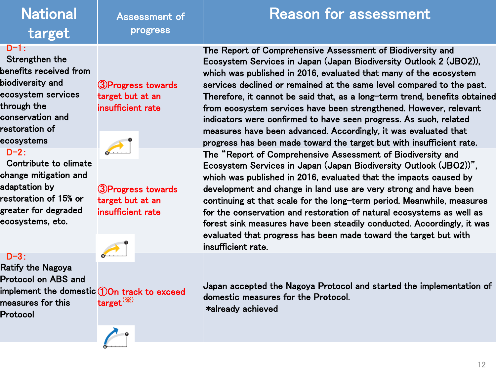## **National** target

#### $D-1:$

Strengthen the benefits received from biodiversity and ecosystem services through the conservation and restoration of ecosystems 

#### $D-2$ :

 Contribute to climate change mitigation and adaptation by restoration of 15% or greater for degraded ecosystems, etc. 

#### $D-3$ :

Ratify the Nagoya Protocol on AB㻿 and measures for this Protocol 

③Progress towards target but at an insufficient rate 

Assessment of

progress 



③Progress towards target but at an insufficient rate 



implement the domestic ①On track to exceed target(※) 



**Reason for assessment** 

The Report of Comprehensive Assessment of Biodiversity and Ecosystem Services in Japan (Japan Biodiversity Outlook 2 (JBO2)), which was published in 2016, evaluated that many of the ecosystem services declined or remained at the same level compared to the past. Therefore, it cannot be said that, as a long-term trend, benefits obtained from ecosystem services have been strengthened. However, relevant indicators were confirmed to have seen progress. As such, related measures have been advanced. Accordingly, it was evaluated that progress has been made toward the target but with insufficient rate. The "Report of Comprehensive Assessment of Biodiversity and Ecosystem Services in Japan (Japan Biodiversity Outlook (JBO2))", which was published in 2016, evaluated that the impacts caused by development and change in land use are very strong and have been continuing at that scale for the long-term period. Meanwhile, measures for the conservation and restoration of natural ecosystems as well as forest sink measures have been steadily conducted. Accordingly, it was evaluated that progress has been made toward the target but with insufficient rate. 

Japan accepted the Nagoya Protocol and started the implementation of domestic measures for the Protocol. \*already achieved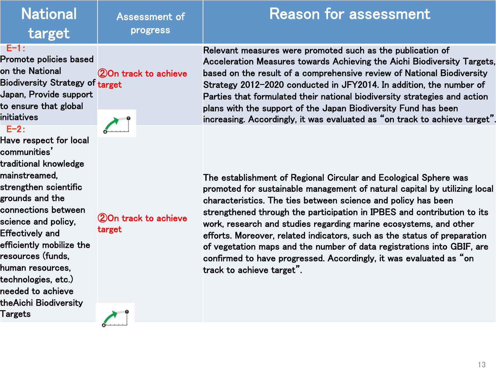| <b>National</b><br>target                                                                                                                      | Assessment of<br>progress | Reason for assessment                                                                                                                                                                                                                                                                                                                                                                                                                 |
|------------------------------------------------------------------------------------------------------------------------------------------------|---------------------------|---------------------------------------------------------------------------------------------------------------------------------------------------------------------------------------------------------------------------------------------------------------------------------------------------------------------------------------------------------------------------------------------------------------------------------------|
| E-1:<br><b>Promote policies based</b><br>on the National<br>Biodiversity Strategy of target<br>Japan, Provide support<br>to ensure that global | 20n track to achieve      | Relevant measures were promoted such as the publication of<br>Acceleration Measures towards Achieving the Aichi Biodiversity Targets,<br>based on the result of a comprehensive review of National Biodiversity<br>Strategy 2012-2020 conducted in JFY2014. In addition, the number of<br>Parties that formulated their national biodiversity strategies and action<br>plans with the support of the Japan Biodiversity Fund has been |

E-2:

initiatives 

Have respect for local communities' traditional knowledge mainstreamed, strengthen scientific grounds and the connections between science and policy, Effectively and efficiently mobilize the resources (funds, human resources, technologies, etc.) needed to achieve theAichi Biodiversity Targets

②On track to achieve target 

The establishment of Regional Circular and Ecological Sphere was promoted for sustainable management of natural capital by utilizing local characteristics. 㼀he ties between science and policy has been strengthened through the participation in IPBES and contribution to its work, research and studies regarding marine ecosystems, and other efforts. Moreover, related indicators, such as the status of preparation of vegetation maps and the number of data registrations into GBIF, are confirmed to have progressed. Accordingly, it was evaluated as "on track to achieve target". 

increasing. Accordingly, it was evaluated as "on track to achieve target".